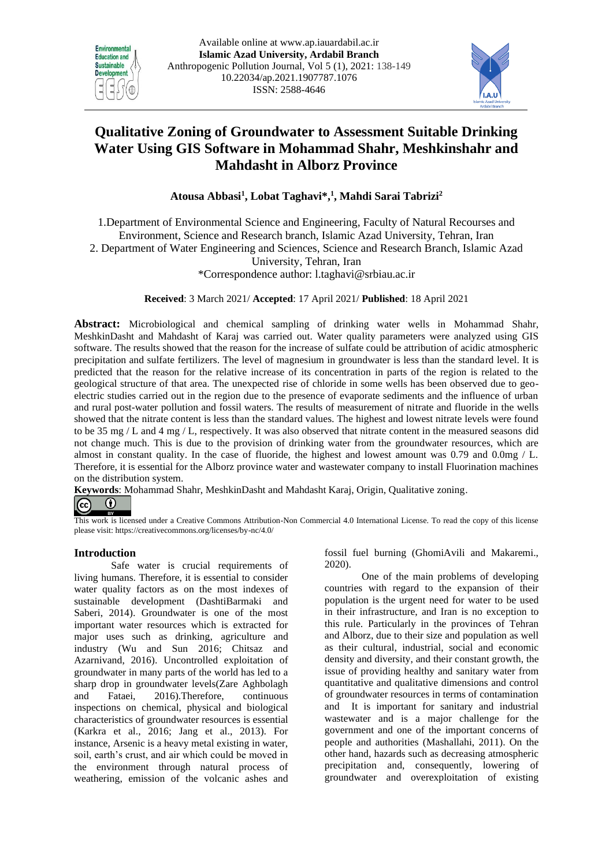



# **[Qualitative Zoning of Groundwater to Assessment Suitable Drinking](https://onlinelibrary.wiley.com/doi/abs/10.1111/wej.12358)  [Water](https://onlinelibrary.wiley.com/doi/abs/10.1111/wej.12358) Using GIS Software in Mohammad Shahr, Meshkinshahr and Mahdasht in Alborz Province**

**Atousa Abbasi<sup>1</sup> , Lobat Taghavi\*, 1 , Mahdi Sarai Tabrizi<sup>2</sup>**

1.Department of Environmental Science and Engineering, Faculty of Natural Recourses and Environment, Science and Research branch, Islamic Azad University, Tehran, Iran 2. Department of Water Engineering and Sciences, Science and Research Branch, Islamic Azad University, Tehran, Iran \*Correspondence author: l.taghavi@srbiau.ac.ir

**Received**: 3 March 2021/ **Accepted**: 17 April 2021/ **Published**: 18 April 2021

**Abstract:** Microbiological and chemical sampling of drinking water wells in Mohammad Shahr, MeshkinDasht and Mahdasht of Karaj was carried out. Water quality parameters were analyzed using GIS software. The results showed that the reason for the increase of sulfate could be attribution of acidic atmospheric precipitation and sulfate fertilizers. The level of magnesium in groundwater is less than the standard level. It is predicted that the reason for the relative increase of its concentration in parts of the region is related to the geological structure of that area. The unexpected rise of chloride in some wells has been observed due to geoelectric studies carried out in the region due to the presence of evaporate sediments and the influence of urban and rural post-water pollution and fossil waters. The results of measurement of nitrate and fluoride in the wells showed that the nitrate content is less than the standard values. The highest and lowest nitrate levels were found to be 35 mg / L and 4 mg / L, respectively. It was also observed that nitrate content in the measured seasons did not change much. This is due to the provision of drinking water from the groundwater resources, which are almost in constant quality. In the case of fluoride, the highest and lowest amount was 0.79 and 0.0mg / L. Therefore, it is essential for the Alborz province water and wastewater company to install Fluorination machines on the distribution system.

**Keywords**: Mohammad Shahr, MeshkinDasht and Mahdasht Karaj, Origin, Qualitative zoning.

 $\bigcirc$  $\vert$  (cc)

This work is licensed under a Creative Commons Attribution-Non Commercial 4.0 International License. To read the copy of this license please visit: https://creativecommons.org/licenses/by-nc/4.0/

## **Introduction**

Safe water is crucial requirements of living humans. Therefore, it is essential to consider water quality factors as on the most indexes of sustainable development (DashtiBarmaki and Saberi, 2014). Groundwater is one of the most important water resources which is extracted for major uses such as drinking, agriculture and industry (Wu and Sun 2016; Chitsaz and Azarnivand, 2016). Uncontrolled exploitation of groundwater in many parts of the world has led to a sharp drop in groundwater levels(Zare Aghbolagh and Fataei, 2016).Therefore, continuous inspections on chemical, physical and biological characteristics of groundwater resources is essential (Karkra et al., 2016; Jang et al., 2013). For instance, Arsenic is a heavy metal existing in water, soil, earth's crust, and air which could be moved in the environment through natural process of weathering, emission of the volcanic ashes and fossil fuel burning (GhomiAvili and Makaremi., 2020).

One of the main problems of developing countries with regard to the expansion of their population is the urgent need for water to be used in their infrastructure, and Iran is no exception to this rule. Particularly in the provinces of Tehran and Alborz, due to their size and population as well as their cultural, industrial, social and economic density and diversity, and their constant growth, the issue of providing healthy and sanitary water from quantitative and qualitative dimensions and control of groundwater resources in terms of contamination and It is important for sanitary and industrial wastewater and is a major challenge for the government and one of the important concerns of people and authorities (Mashallahi, 2011). On the other hand, hazards such as decreasing atmospheric precipitation and, consequently, lowering of groundwater and overexploitation of existing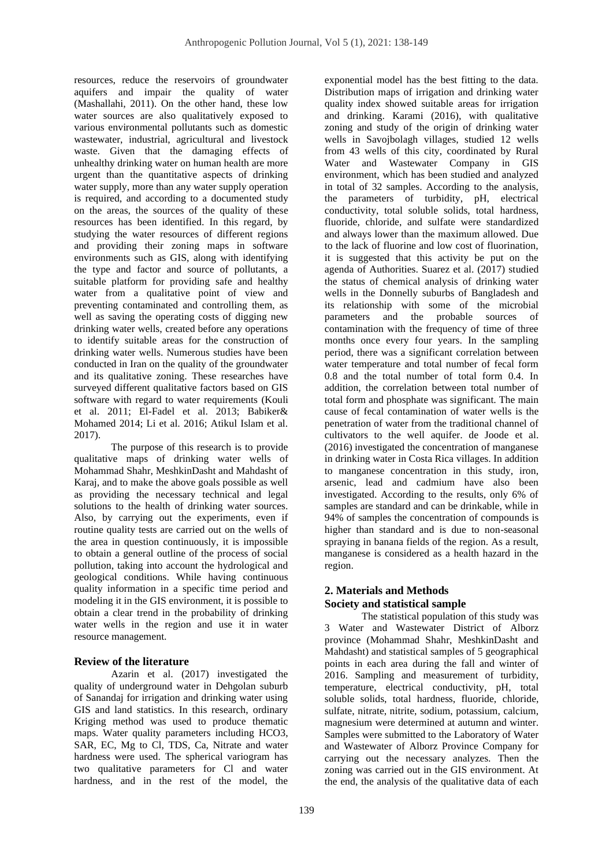resources, reduce the reservoirs of groundwater aquifers and impair the quality of water (Mashallahi, 2011). On the other hand, these low water sources are also qualitatively exposed to various environmental pollutants such as domestic wastewater, industrial, agricultural and livestock waste. Given that the damaging effects of unhealthy drinking water on human health are more urgent than the quantitative aspects of drinking water supply, more than any water supply operation is required, and according to a documented study on the areas, the sources of the quality of these resources has been identified. In this regard, by studying the water resources of different regions and providing their zoning maps in software environments such as GIS, along with identifying the type and factor and source of pollutants, a suitable platform for providing safe and healthy water from a qualitative point of view and preventing contaminated and controlling them, as well as saving the operating costs of digging new drinking water wells, created before any operations to identify suitable areas for the construction of drinking water wells. Numerous studies have been conducted in Iran on the quality of the groundwater and its qualitative zoning. These researches have surveyed different qualitative factors based on GIS software with regard to water requirements (Kouli et al. 2011; El-Fadel et al. 2013; Babiker& Mohamed 2014; Li et al. 2016; Atikul Islam et al. 2017).

The purpose of this research is to provide qualitative maps of drinking water wells of Mohammad Shahr, MeshkinDasht and Mahdasht of Karaj, and to make the above goals possible as well as providing the necessary technical and legal solutions to the health of drinking water sources. Also, by carrying out the experiments, even if routine quality tests are carried out on the wells of the area in question continuously, it is impossible to obtain a general outline of the process of social pollution, taking into account the hydrological and geological conditions. While having continuous quality information in a specific time period and modeling it in the GIS environment, it is possible to obtain a clear trend in the probability of drinking water wells in the region and use it in water resource management.

## **Review of the literature**

Azarin et al. (2017) investigated the quality of underground water in Dehgolan suburb of Sanandaj for irrigation and drinking water using GIS and land statistics. In this research, ordinary Kriging method was used to produce thematic maps. Water quality parameters including HCO3, SAR, EC, Mg to Cl, TDS, Ca, Nitrate and water hardness were used. The spherical variogram has two qualitative parameters for Cl and water hardness, and in the rest of the model, the

exponential model has the best fitting to the data. Distribution maps of irrigation and drinking water quality index showed suitable areas for irrigation and drinking. Karami (2016), with qualitative zoning and study of the origin of drinking water wells in Savojbolagh villages, studied 12 wells from 43 wells of this city, coordinated by Rural Water and Wastewater Company in GIS environment, which has been studied and analyzed in total of 32 samples. According to the analysis, the parameters of turbidity, pH, electrical conductivity, total soluble solids, total hardness, fluoride, chloride, and sulfate were standardized and always lower than the maximum allowed. Due to the lack of fluorine and low cost of fluorination, it is suggested that this activity be put on the agenda of Authorities. Suarez et al. (2017) studied the status of chemical analysis of drinking water wells in the Donnelly suburbs of Bangladesh and its relationship with some of the microbial parameters and the probable sources of contamination with the frequency of time of three months once every four years. In the sampling period, there was a significant correlation between water temperature and total number of fecal form 0.8 and the total number of total form 0.4. In addition, the correlation between total number of total form and phosphate was significant. The main cause of fecal contamination of water wells is the penetration of water from the traditional channel of cultivators to the well aquifer. de Joode et al. (2016) investigated the concentration of manganese in drinking water in Costa Rica villages. In addition to manganese concentration in this study, iron, arsenic, lead and cadmium have also been investigated. According to the results, only 6% of samples are standard and can be drinkable, while in 94% of samples the concentration of compounds is higher than standard and is due to non-seasonal spraying in banana fields of the region. As a result, manganese is considered as a health hazard in the region.

# **2. Materials and Methods Society and statistical sample**

The statistical population of this study was 3 Water and Wastewater District of Alborz province (Mohammad Shahr, MeshkinDasht and Mahdasht) and statistical samples of 5 geographical points in each area during the fall and winter of 2016. Sampling and measurement of turbidity, temperature, electrical conductivity, pH, total soluble solids, total hardness, fluoride, chloride, sulfate, nitrate, nitrite, sodium, potassium, calcium, magnesium were determined at autumn and winter. Samples were submitted to the Laboratory of Water and Wastewater of Alborz Province Company for carrying out the necessary analyzes. Then the zoning was carried out in the GIS environment. At the end, the analysis of the qualitative data of each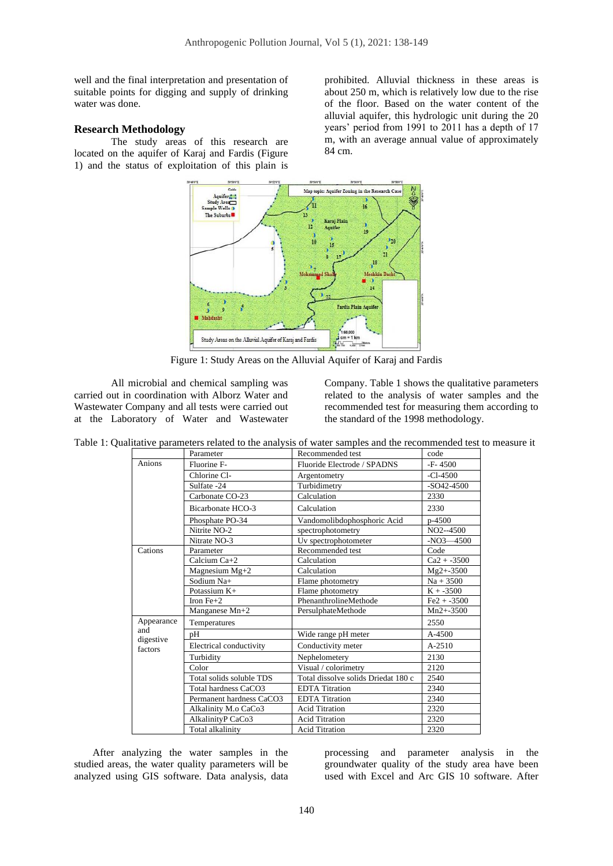well and the final interpretation and presentation of suitable points for digging and supply of drinking water was done.

#### **Research Methodology**

The study areas of this research are located on the aquifer of Karaj and Fardis (Figure 1) and the status of exploitation of this plain is

prohibited. Alluvial thickness in these areas is about 250 m, which is relatively low due to the rise of the floor. Based on the water content of the alluvial aquifer, this hydrologic unit during the 20 years' period from 1991 to 2011 has a depth of 17 m, with an average annual value of approximately 84 cm.



Figure 1: Study Areas on the Alluvial Aquifer of Karaj and Fardis

All microbial and chemical sampling was carried out in coordination with Alborz Water and Wastewater Company and all tests were carried out at the Laboratory of Water and Wastewater Company. Table 1 shows the qualitative parameters related to the analysis of water samples and the recommended test for measuring them according to the standard of the 1998 methodology.

|                  | Parameter                | Recommended test                    | code          |
|------------------|--------------------------|-------------------------------------|---------------|
| Anions           | Fluorine F-              | Fluoride Electrode / SPADNS         | $-F-4500$     |
|                  | Chlorine Cl-             | Argentometry                        | $-C1-4500$    |
|                  | Sulfate -24              | Turbidimetry                        | $-SO42-4500$  |
|                  | Carbonate CO-23          | Calculation                         | 2330          |
|                  | Bicarbonate HCO-3        | Calculation                         | 2330          |
|                  | Phosphate PO-34          | Vandomolibdophosphoric Acid         | p-4500        |
|                  | Nitrite NO-2             | spectrophotometry                   | NO2--4500     |
|                  | Nitrate NO-3             | Uv spectrophotometer                | $-NO3 - 4500$ |
| Cations          | Parameter                | Recommended test                    | Code          |
|                  | Calcium Ca+2             | Calculation                         | $Ca2 + -3500$ |
|                  | Magnesium Mg+2           | Calculation                         | $Mg2+3500$    |
|                  | Sodium Na+               | Flame photometry                    | $Na + 3500$   |
|                  | Potassium $K+$           | Flame photometry                    | $K + -3500$   |
|                  | Iron $Fe+2$              | PhenanthrolineMethode               | $Fe2 + -3500$ |
|                  | Manganese Mn+2           | PersulphateMethode                  | $Mn2 + -3500$ |
| Appearance       | Temperatures             |                                     | 2550          |
| and<br>digestive | рH                       | Wide range pH meter                 | A-4500        |
| factors          | Electrical conductivity  | Conductivity meter                  | $A - 2510$    |
|                  | Turbidity                | Nephelometery                       | 2130          |
|                  | Color                    | Visual / colorimetry                | 2120          |
|                  | Total solids soluble TDS | Total dissolve solids Driedat 180 c | 2540          |
|                  | Total hardness CaCO3     | <b>EDTA</b> Titration               | 2340          |
|                  | Permanent hardness CaCO3 | <b>EDTA</b> Titration               | 2340          |
|                  | Alkalinity M.o CaCo3     | <b>Acid Titration</b>               | 2320          |
|                  | AlkalinityP CaCo3        | <b>Acid Titration</b>               | 2320          |
|                  | Total alkalinity         | <b>Acid Titration</b>               | 2320          |

Table 1: Qualitative parameters related to the analysis of water samples and the recommended test to measure it

After analyzing the water samples in the studied areas, the water quality parameters will be analyzed using GIS software. Data analysis, data

processing and parameter analysis in the groundwater quality of the study area have been used with Excel and Arc GIS 10 software. After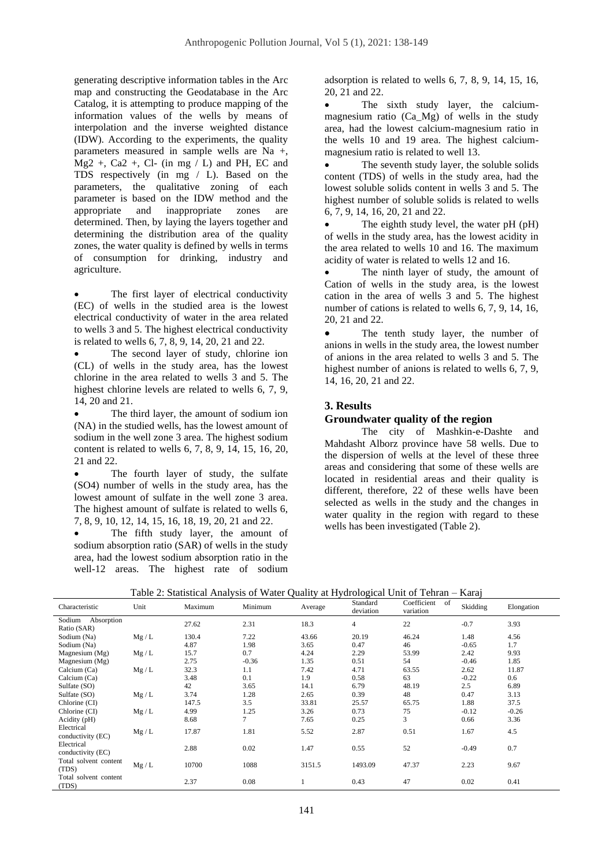generating descriptive information tables in the Arc map and constructing the Geodatabase in the Arc Catalog, it is attempting to produce mapping of the information values of the wells by means of interpolation and the inverse weighted distance (IDW). According to the experiments, the quality parameters measured in sample wells are Na +,  $Mg2$  +, Ca2 +, Cl- (in mg  $/L$ ) and PH, EC and TDS respectively (in mg / L). Based on the parameters, the qualitative zoning of each parameter is based on the IDW method and the appropriate and inappropriate zones are determined. Then, by laying the layers together and determining the distribution area of the quality zones, the water quality is defined by wells in terms of consumption for drinking, industry and agriculture.

The first layer of electrical conductivity (EC) of wells in the studied area is the lowest electrical conductivity of water in the area related to wells 3 and 5. The highest electrical conductivity is related to wells 6, 7, 8, 9, 14, 20, 21 and 22.

• The second layer of study, chlorine ion (CL) of wells in the study area, has the lowest chlorine in the area related to wells 3 and 5. The highest chlorine levels are related to wells 6, 7, 9. 14, 20 and 21.

The third layer, the amount of sodium ion (NA) in the studied wells, has the lowest amount of sodium in the well zone 3 area. The highest sodium content is related to wells 6, 7, 8, 9, 14, 15, 16, 20, 21 and 22.

The fourth layer of study, the sulfate (SO4) number of wells in the study area, has the lowest amount of sulfate in the well zone 3 area. The highest amount of sulfate is related to wells 6, 7, 8, 9, 10, 12, 14, 15, 16, 18, 19, 20, 21 and 22.

The fifth study layer, the amount of sodium absorption ratio (SAR) of wells in the study area, had the lowest sodium absorption ratio in the well-12 areas. The highest rate of sodium adsorption is related to wells 6, 7, 8, 9, 14, 15, 16, 20, 21 and 22.

The sixth study layer, the calciummagnesium ratio (Ca\_Mg) of wells in the study area, had the lowest calcium-magnesium ratio in the wells 10 and 19 area. The highest calciummagnesium ratio is related to well 13.

• The seventh study layer, the soluble solids content (TDS) of wells in the study area, had the lowest soluble solids content in wells 3 and 5. The highest number of soluble solids is related to wells 6, 7, 9, 14, 16, 20, 21 and 22.

The eighth study level, the water pH (pH) of wells in the study area, has the lowest acidity in the area related to wells 10 and 16. The maximum acidity of water is related to wells 12 and 16.

The ninth layer of study, the amount of Cation of wells in the study area, is the lowest cation in the area of wells 3 and 5. The highest number of cations is related to wells 6, 7, 9, 14, 16, 20, 21 and 22.

• The tenth study layer, the number of anions in wells in the study area, the lowest number of anions in the area related to wells 3 and 5. The highest number of anions is related to wells 6, 7, 9, 14, 16, 20, 21 and 22.

#### **3. Results**

#### **Groundwater quality of the region**

The city of Mashkin-e-Dashte and Mahdasht Alborz province have 58 wells. Due to the dispersion of wells at the level of these three areas and considering that some of these wells are located in residential areas and their quality is different, therefore, 22 of these wells have been selected as wells in the study and the changes in water quality in the region with regard to these wells has been investigated (Table 2).

|                                     | Table 2. Statistical Aliarysis of Water Quality at Hydrological Official – Raraj |         |         |         |                       |                             |          |            |
|-------------------------------------|----------------------------------------------------------------------------------|---------|---------|---------|-----------------------|-----------------------------|----------|------------|
| Characteristic                      | Unit                                                                             | Maximum | Minimum | Average | Standard<br>deviation | Coefficient of<br>variation | Skidding | Elongation |
| Absorption<br>Sodium<br>Ratio (SAR) |                                                                                  | 27.62   | 2.31    | 18.3    | $\overline{4}$        | 22                          | $-0.7$   | 3.93       |
| Sodium (Na)                         | Mg/L                                                                             | 130.4   | 7.22    | 43.66   | 20.19                 | 46.24                       | 1.48     | 4.56       |
| Sodium (Na)                         |                                                                                  | 4.87    | 1.98    | 3.65    | 0.47                  | 46                          | $-0.65$  | 1.7        |
| Magnesium (Mg)                      | Mg/L                                                                             | 15.7    | 0.7     | 4.24    | 2.29                  | 53.99                       | 2.42     | 9.93       |
| Magnesium $(Mg)$                    |                                                                                  | 2.75    | $-0.36$ | 1.35    | 0.51                  | 54                          | $-0.46$  | 1.85       |
| Calcium (Ca)                        | Mg/L                                                                             | 32.3    | 1.1     | 7.42    | 4.71                  | 63.55                       | 2.62     | 11.87      |
| Calcium (Ca)                        |                                                                                  | 3.48    | 0.1     | 1.9     | 0.58                  | 63                          | $-0.22$  | 0.6        |
| Sulfate (SO)                        |                                                                                  | 42      | 3.65    | 14.1    | 6.79                  | 48.19                       | 2.5      | 6.89       |
| Sulfate (SO)                        | Mg/L                                                                             | 3.74    | 1.28    | 2.65    | 0.39                  | 48                          | 0.47     | 3.13       |
| Chlorine (CI)                       |                                                                                  | 147.5   | 3.5     | 33.81   | 25.57                 | 65.75                       | 1.88     | 37.5       |
| Chlorine (CI)                       | Mg/L                                                                             | 4.99    | 1.25    | 3.26    | 0.73                  | 75                          | $-0.12$  | $-0.26$    |
| Acidity (pH)                        |                                                                                  | 8.68    | $\tau$  | 7.65    | 0.25                  | 3                           | 0.66     | 3.36       |
| Electrical<br>conductivity (EC)     | Mg/L                                                                             | 17.87   | 1.81    | 5.52    | 2.87                  | 0.51                        | 1.67     | 4.5        |
| Electrical<br>conductivity (EC)     |                                                                                  | 2.88    | 0.02    | 1.47    | 0.55                  | 52                          | $-0.49$  | 0.7        |
| Total solvent content<br>(TDS)      | Mg/L                                                                             | 10700   | 1088    | 3151.5  | 1493.09               | 47.37                       | 2.23     | 9.67       |
| Total solvent content<br>(TDS)      |                                                                                  | 2.37    | 0.08    |         | 0.43                  | 47                          | 0.02     | 0.41       |

Table 2: Statistical Analysis of Water Quality at Hydrological Unit of Tehran – Karaj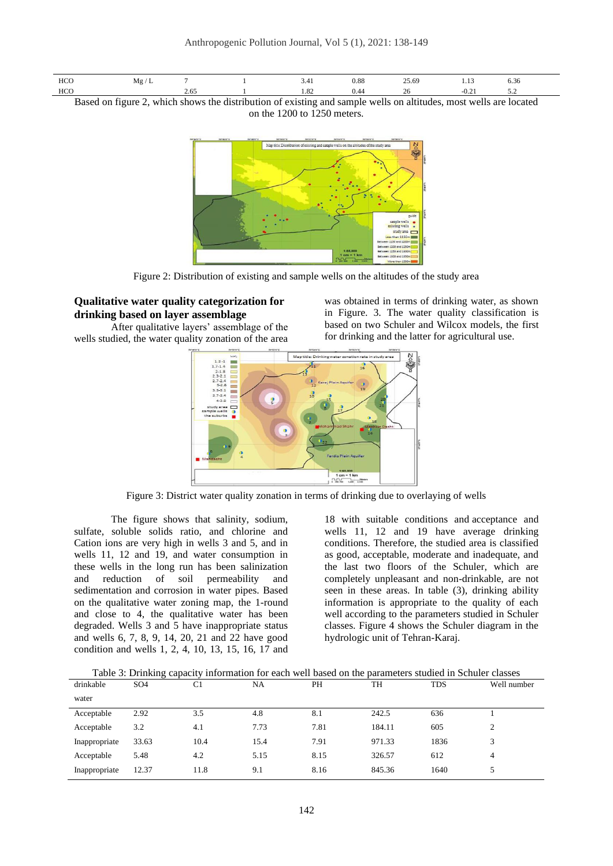

Based on figure 2, which shows the distribution of existing and sample wells on altitudes, most wells are located on the 1200 to 1250 meters.



Figure 2: Distribution of existing and sample wells on the altitudes of the study area

## **Qualitative water quality categorization for drinking based on layer assemblage**

After qualitative layers' assemblage of the wells studied, the water quality zonation of the area

was obtained in terms of drinking water, as shown in Figure. 3. The water quality classification is based on two Schuler and Wilcox models, the first for drinking and the latter for agricultural use.



Figure 3: District water quality zonation in terms of drinking due to overlaying of wells

The figure shows that salinity, sodium, sulfate, soluble solids ratio, and chlorine and Cation ions are very high in wells 3 and 5, and in wells 11, 12 and 19, and water consumption in these wells in the long run has been salinization and reduction of soil permeability and sedimentation and corrosion in water pipes. Based on the qualitative water zoning map, the 1-round and close to 4, the qualitative water has been degraded. Wells 3 and 5 have inappropriate status and wells 6, 7, 8, 9, 14, 20, 21 and 22 have good condition and wells 1, 2, 4, 10, 13, 15, 16, 17 and

18 with suitable conditions and acceptance and wells 11, 12 and 19 have average drinking conditions. Therefore, the studied area is classified as good, acceptable, moderate and inadequate, and the last two floors of the Schuler, which are completely unpleasant and non-drinkable, are not seen in these areas. In table (3), drinking ability information is appropriate to the quality of each well according to the parameters studied in Schuler classes. Figure 4 shows the Schuler diagram in the hydrologic unit of Tehran-Karaj.

| Table 3: Drinking capacity information for each well based on the parameters studied in Schuler classes |  |  |  |
|---------------------------------------------------------------------------------------------------------|--|--|--|
|                                                                                                         |  |  |  |

|               | $1000$ $\sigma$ . Benname capacity |      |      |      | <u>Thrormanon for cach went cased on the parameters stadied in behaved chasses</u> |            |             |
|---------------|------------------------------------|------|------|------|------------------------------------------------------------------------------------|------------|-------------|
| drinkable     | SO <sub>4</sub>                    | C1   | NA   | PH   | TH                                                                                 | <b>TDS</b> | Well number |
| water         |                                    |      |      |      |                                                                                    |            |             |
| Acceptable    | 2.92                               | 3.5  | 4.8  | 8.1  | 242.5                                                                              | 636        |             |
| Acceptable    | 3.2                                | 4.1  | 7.73 | 7.81 | 184.11                                                                             | 605        |             |
| Inappropriate | 33.63                              | 10.4 | 15.4 | 7.91 | 971.33                                                                             | 1836       |             |
| Acceptable    | 5.48                               | 4.2  | 5.15 | 8.15 | 326.57                                                                             | 612        | 4           |
| Inappropriate | 12.37                              | 11.8 | 9.1  | 8.16 | 845.36                                                                             | 1640       |             |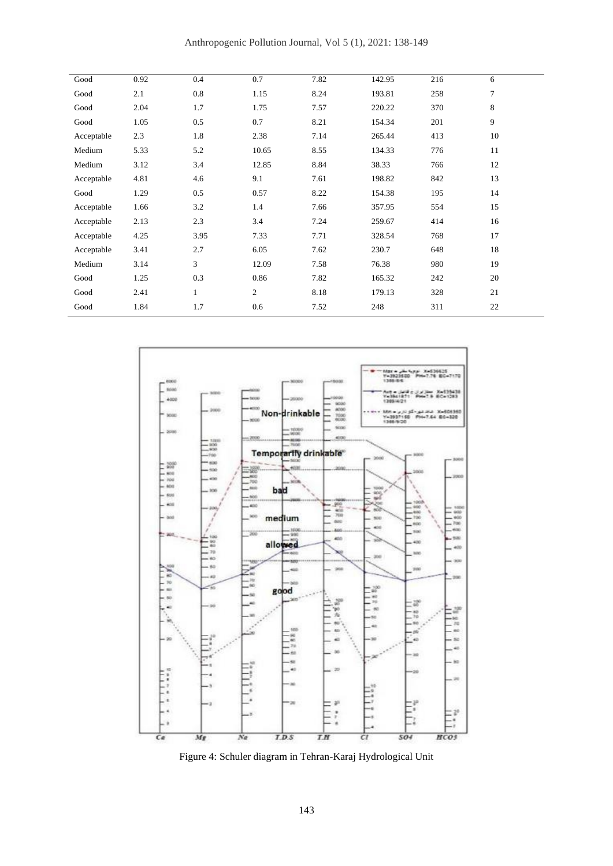| Good       | 0.92 | 0.4          | 0.7   | 7.82 | 142.95 | 216 | 6      |
|------------|------|--------------|-------|------|--------|-----|--------|
| Good       | 2.1  | 0.8          | 1.15  | 8.24 | 193.81 | 258 | $\tau$ |
| Good       | 2.04 | 1.7          | 1.75  | 7.57 | 220.22 | 370 | 8      |
| Good       | 1.05 | 0.5          | 0.7   | 8.21 | 154.34 | 201 | 9      |
| Acceptable | 2.3  | 1.8          | 2.38  | 7.14 | 265.44 | 413 | 10     |
| Medium     | 5.33 | 5.2          | 10.65 | 8.55 | 134.33 | 776 | 11     |
| Medium     | 3.12 | 3.4          | 12.85 | 8.84 | 38.33  | 766 | 12     |
| Acceptable | 4.81 | 4.6          | 9.1   | 7.61 | 198.82 | 842 | 13     |
| Good       | 1.29 | 0.5          | 0.57  | 8.22 | 154.38 | 195 | 14     |
| Acceptable | 1.66 | 3.2          | 1.4   | 7.66 | 357.95 | 554 | 15     |
| Acceptable | 2.13 | 2.3          | 3.4   | 7.24 | 259.67 | 414 | 16     |
| Acceptable | 4.25 | 3.95         | 7.33  | 7.71 | 328.54 | 768 | 17     |
| Acceptable | 3.41 | 2.7          | 6.05  | 7.62 | 230.7  | 648 | 18     |
| Medium     | 3.14 | 3            | 12.09 | 7.58 | 76.38  | 980 | 19     |
| Good       | 1.25 | 0.3          | 0.86  | 7.82 | 165.32 | 242 | 20     |
| Good       | 2.41 | $\mathbf{1}$ | 2     | 8.18 | 179.13 | 328 | 21     |
| Good       | 1.84 | 1.7          | 0.6   | 7.52 | 248    | 311 | 22     |



Figure 4: Schuler diagram in Tehran-Karaj Hydrological Unit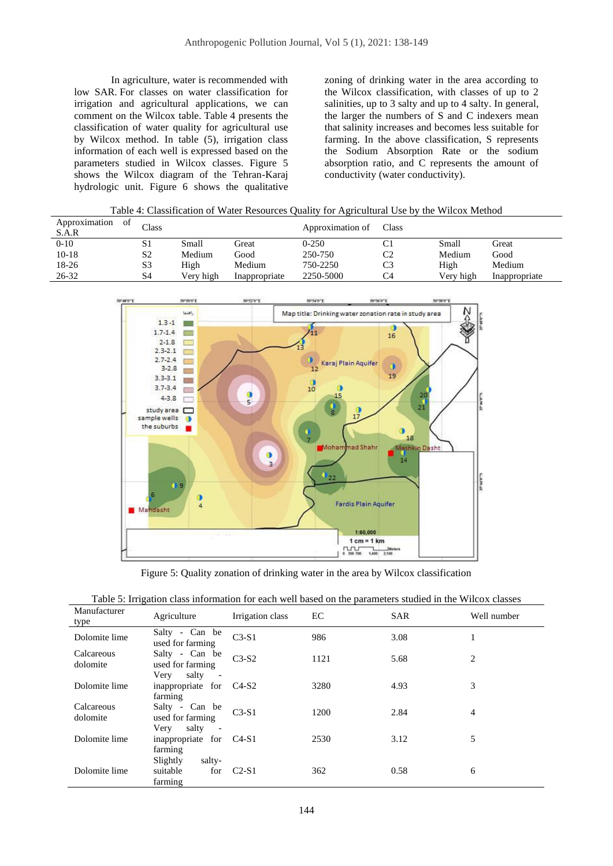In agriculture, water is recommended with low SAR. For classes on water classification for irrigation and agricultural applications, we can comment on the Wilcox table. Table 4 presents the classification of water quality for agricultural use by Wilcox method. In table (5), irrigation class information of each well is expressed based on the parameters studied in Wilcox classes. Figure 5 shows the Wilcox diagram of the Tehran-Karaj hydrologic unit. Figure 6 shows the qualitative

zoning of drinking water in the area according to the Wilcox classification, with classes of up to 2 salinities, up to 3 salty and up to 4 salty. In general, the larger the numbers of S and C indexers mean that salinity increases and becomes less suitable for farming. In the above classification, S represents the Sodium Absorption Rate or the sodium absorption ratio, and C represents the amount of conductivity (water conductivity).

| Table 4: Classification of Water Resources Quality for Agricultural Use by the Wilcox Method |  |
|----------------------------------------------------------------------------------------------|--|

| Approximation<br>0Ť<br>S.A.R | Class          |           |               | Approximation of | Class |           |               |
|------------------------------|----------------|-----------|---------------|------------------|-------|-----------|---------------|
| $0-10$                       | S1             | Small     | Great         | $0 - 250$        | C1    | Small     | Great         |
| $10-18$                      | S <sub>2</sub> | Medium    | Good          | 250-750          | C2    | Medium    | Good          |
| 18-26                        | S <sub>3</sub> | High      | Medium        | 750-2250         | C3    | High      | Medium        |
| 26-32                        | S4             | Very high | Inappropriate | 2250-5000        | C4    | Very high | Inappropriate |



Figure 5: Quality zonation of drinking water in the area by Wilcox classification

|  |  | Table 5: Irrigation class information for each well based on the parameters studied in the Wilcox classes |  |
|--|--|-----------------------------------------------------------------------------------------------------------|--|
|  |  |                                                                                                           |  |

| Manufacturer<br>type   | Agriculture                                                                     | Irrigation class | EC   | <b>SAR</b> | Well number    |
|------------------------|---------------------------------------------------------------------------------|------------------|------|------------|----------------|
| Dolomite lime          | Salty - Can be<br>used for farming                                              | $C3-S1$          | 986  | 3.08       | 1              |
| Calcareous<br>dolomite | Salty - Can be<br>used for farming                                              | $C3-S2$          | 1121 | 5.68       | $\overline{c}$ |
| Dolomite lime          | salty<br>Very<br>$\overline{\phantom{a}}$<br>inappropriate for C4-S2<br>farming |                  | 3280 | 4.93       | 3              |
| Calcareous<br>dolomite | Salty - Can be<br>used for farming<br>salty<br>Very<br>$\sim$                   | $C3-S1$          | 1200 | 2.84       | $\overline{4}$ |
| Dolomite lime          | inappropriate for C4-S1<br>farming                                              |                  | 2530 | 3.12       | 5              |
| Dolomite lime          | Slightly<br>salty-<br>suitable<br>for<br>farming                                | $C2-S1$          | 362  | 0.58       | 6              |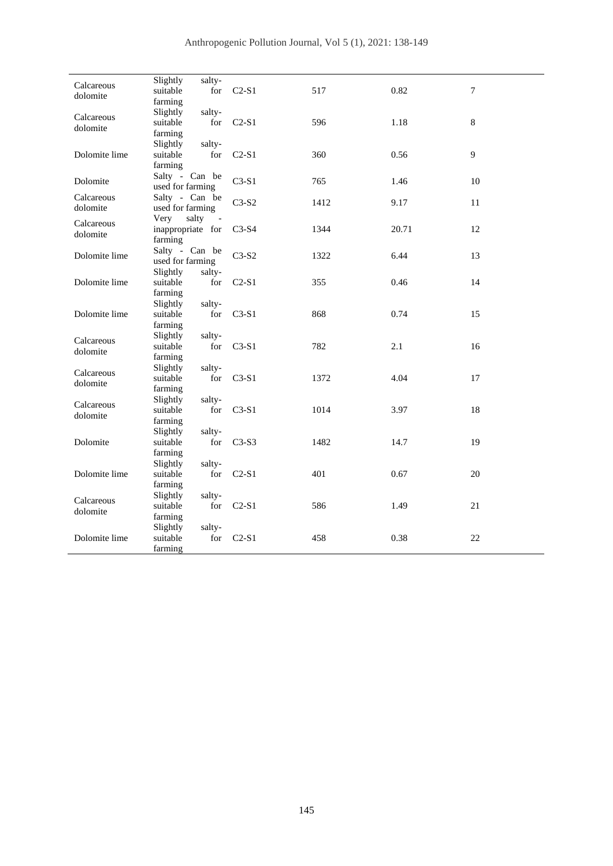| Calcareous             | Slightly<br>salty-                    |         |      |       |    |
|------------------------|---------------------------------------|---------|------|-------|----|
| dolomite               | suitable<br>for                       | $C2-S1$ | 517  | 0.82  | 7  |
|                        | farming                               |         |      |       |    |
| Calcareous             | Slightly<br>salty-                    |         |      |       |    |
| dolomite               | suitable<br>for                       | $C2-S1$ | 596  | 1.18  | 8  |
|                        | farming                               |         |      |       |    |
|                        | Slightly<br>salty-                    |         |      |       |    |
| Dolomite lime          | suitable<br>for                       | $C2-S1$ | 360  | 0.56  | 9  |
|                        | farming                               |         |      |       |    |
| Dolomite               | Salty - Can be                        | $C3-S1$ | 765  | 1.46  | 10 |
|                        | used for farming                      |         |      |       |    |
| Calcareous             | Salty - Can be                        | $C3-S2$ | 1412 | 9.17  | 11 |
| dolomite               | used for farming                      |         |      |       |    |
| Calcareous             | salty<br>Very                         |         |      |       |    |
| dolomite               | inappropriate for                     | $C3-S4$ | 1344 | 20.71 | 12 |
|                        | farming                               |         |      |       |    |
| Dolomite lime          | Salty - Can be<br>used for farming    | $C3-S2$ | 1322 | 6.44  | 13 |
|                        |                                       |         |      |       |    |
| Dolomite lime          | Slightly<br>salty-<br>suitable<br>for | $C2-S1$ | 355  | 0.46  | 14 |
|                        | farming                               |         |      |       |    |
|                        | Slightly<br>salty-                    |         |      |       |    |
| Dolomite lime          | suitable<br>for                       | $C3-S1$ | 868  | 0.74  | 15 |
|                        | farming                               |         |      |       |    |
|                        | Slightly<br>salty-                    |         |      |       |    |
| Calcareous             | suitable<br>for                       | $C3-S1$ | 782  | 2.1   | 16 |
| dolomite               | farming                               |         |      |       |    |
|                        | salty-<br>Slightly                    |         |      |       |    |
| Calcareous             | suitable<br>for                       | $C3-S1$ | 1372 | 4.04  | 17 |
| dolomite               | farming                               |         |      |       |    |
|                        | Slightly<br>salty-                    |         |      |       |    |
| Calcareous<br>dolomite | suitable<br>for                       | $C3-S1$ | 1014 | 3.97  | 18 |
|                        | farming                               |         |      |       |    |
|                        | Slightly<br>salty-                    |         |      |       |    |
| Dolomite               | suitable<br>for                       | $C3-S3$ | 1482 | 14.7  | 19 |
|                        | farming                               |         |      |       |    |
|                        | Slightly<br>salty-                    |         |      |       |    |
| Dolomite lime          | suitable<br>for                       | $C2-S1$ | 401  | 0.67  | 20 |
|                        | farming                               |         |      |       |    |
| Calcareous             | Slightly<br>salty-                    |         |      |       |    |
| dolomite               | suitable<br>for                       | $C2-S1$ | 586  | 1.49  | 21 |
|                        | farming                               |         |      |       |    |
|                        | Slightly<br>salty-                    |         |      |       |    |
| Dolomite lime          | suitable<br>for                       | $C2-S1$ | 458  | 0.38  | 22 |
|                        | farming                               |         |      |       |    |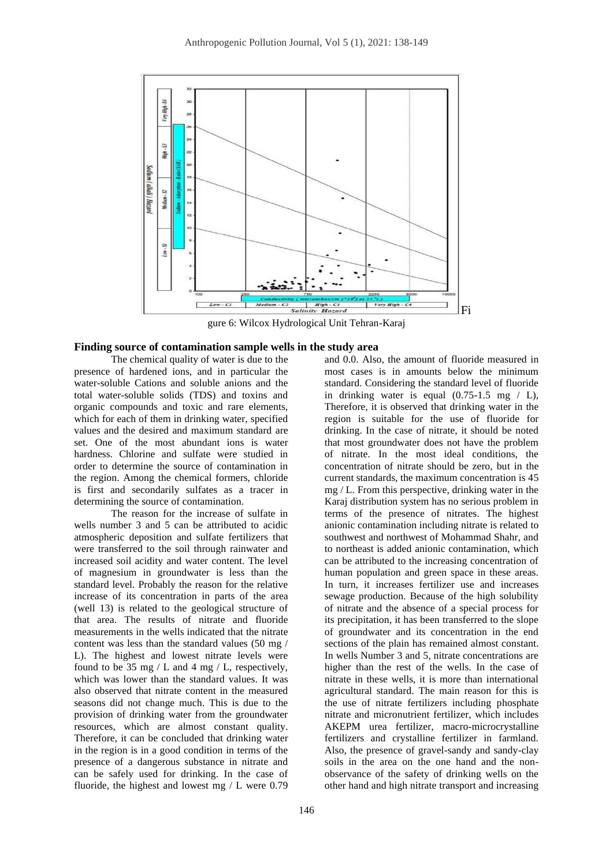

gure 6: Wilcox Hydrological Unit Tehran-Karaj

#### **Finding source of contamination sample wells in the study area**

The chemical quality of water is due to the presence of hardened ions, and in particular the water-soluble Cations and soluble anions and the total water-soluble solids (TDS) and toxins and organic compounds and toxic and rare elements, which for each of them in drinking water, specified values and the desired and maximum standard are set. One of the most abundant ions is water hardness. Chlorine and sulfate were studied in order to determine the source of contamination in the region. Among the chemical formers, chloride is first and secondarily sulfates as a tracer in determining the source of contamination.

The reason for the increase of sulfate in wells number 3 and 5 can be attributed to acidic atmospheric deposition and sulfate fertilizers that were transferred to the soil through rainwater and increased soil acidity and water content. The level of magnesium in groundwater is less than the standard level. Probably the reason for the relative increase of its concentration in parts of the area (well 13) is related to the geological structure of that area. The results of nitrate and fluoride measurements in the wells indicated that the nitrate content was less than the standard values (50 mg / L). The highest and lowest nitrate levels were found to be 35 mg / L and 4 mg / L, respectively, which was lower than the standard values. It was also observed that nitrate content in the measured seasons did not change much. This is due to the provision of drinking water from the groundwater resources, which are almost constant quality. Therefore, it can be concluded that drinking water in the region is in a good condition in terms of the presence of a dangerous substance in nitrate and can be safely used for drinking. In the case of fluoride, the highest and lowest mg / L were 0.79

and 0.0. Also, the amount of fluoride measured in most cases is in amounts below the minimum standard. Considering the standard level of fluoride in drinking water is equal  $(0.75-1.5 \text{ mg } / \text{ L})$ , Therefore, it is observed that drinking water in the region is suitable for the use of fluoride for drinking. In the case of nitrate, it should be noted that most groundwater does not have the problem of nitrate. In the most ideal conditions, the concentration of nitrate should be zero, but in the current standards, the maximum concentration is 45 mg / L. From this perspective, drinking water in the Karaj distribution system has no serious problem in terms of the presence of nitrates. The highest anionic contamination including nitrate is related to southwest and northwest of Mohammad Shahr, and to northeast is added anionic contamination, which can be attributed to the increasing concentration of human population and green space in these areas. In turn, it increases fertilizer use and increases sewage production. Because of the high solubility of nitrate and the absence of a special process for its precipitation, it has been transferred to the slope of groundwater and its concentration in the end sections of the plain has remained almost constant. In wells Number 3 and 5, nitrate concentrations are higher than the rest of the wells. In the case of nitrate in these wells, it is more than international agricultural standard. The main reason for this is the use of nitrate fertilizers including phosphate nitrate and micronutrient fertilizer, which includes AKEPM urea fertilizer, macro-microcrystalline fertilizers and crystalline fertilizer in farmland. Also, the presence of gravel-sandy and sandy-clay soils in the area on the one hand and the nonobservance of the safety of drinking wells on the other hand and high nitrate transport and increasing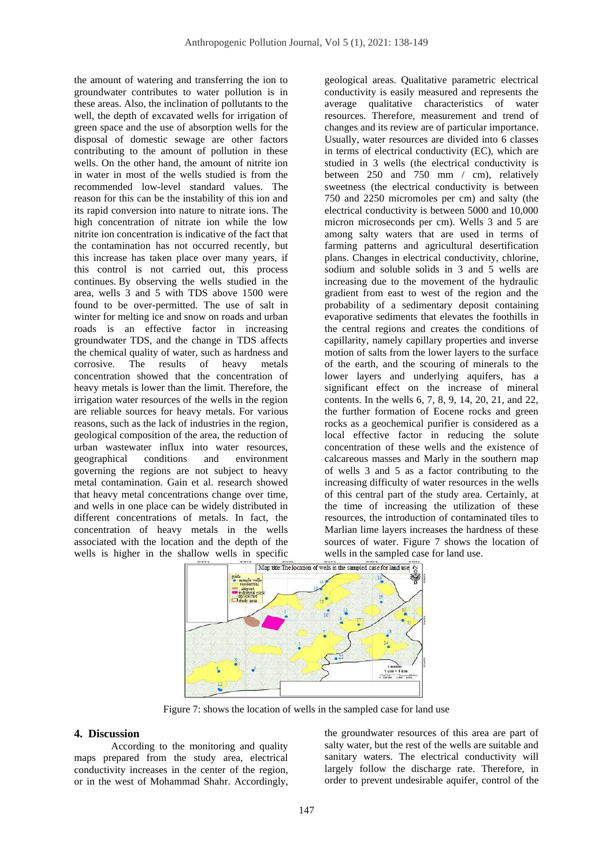the amount of watering and transferring the ion to groundwater contributes to water pollution is in these areas. Also, the inclination of pollutants to the well, the depth of excavated wells for irrigation of green space and the use of absorption wells for the disposal of domestic sewage are other factors contributing to the amount of pollution in these wells. On the other hand, the amount of nitrite ion in water in most of the wells studied is from the recommended low-level standard values. The reason for this can be the instability of this ion and its rapid conversion into nature to nitrate ions. The high concentration of nitrate ion while the low nitrite ion concentration is indicative of the fact that the contamination has not occurred recently, but this increase has taken place over many years, if this control is not carried out, this process continues. By observing the wells studied in the area, wells 3 and 5 with TDS above 1500 were found to be over-permitted. The use of salt in winter for melting ice and snow on roads and urban roads is an effective factor in increasing groundwater TDS, and the change in TDS affects the chemical quality of water, such as hardness and corrosive. The results of heavy metals concentration showed that the concentration of heavy metals is lower than the limit. Therefore, the irrigation water resources of the wells in the region are reliable sources for heavy metals. For various reasons, such as the lack of industries in the region, geological composition of the area, the reduction of urban wastewater influx into water resources, geographical conditions and environment governing the regions are not subject to heavy metal contamination. Gain et al. research showed that heavy metal concentrations change over time, and wells in one place can be widely distributed in different concentrations of metals. In fact, the concentration of heavy metals in the wells associated with the location and the depth of the wells is higher in the shallow wells in specific

geological areas. Qualitative parametric electrical conductivity is easily measured and represents the average qualitative characteristics of water resources. Therefore, measurement and trend of changes and its review are of particular importance. Usually, water resources are divided into 6 classes in terms of electrical conductivity (EC), which are studied in 3 wells (the electrical conductivity is between 250 and 750 mm / cm), relatively sweetness (the electrical conductivity is between 750 and 2250 micromoles per cm) and salty (the electrical conductivity is between 5000 and 10,000 micron microseconds per cm). Wells 3 and 5 are among salty waters that are used in terms of farming patterns and agricultural desertification plans. Changes in electrical conductivity, chlorine, sodium and soluble solids in 3 and 5 wells are increasing due to the movement of the hydraulic gradient from east to west of the region and the probability of a sedimentary deposit containing evaporative sediments that elevates the foothills in the central regions and creates the conditions of capillarity, namely capillary properties and inverse motion of salts from the lower layers to the surface of the earth, and the scouring of minerals to the lower layers and underlying aquifers, has a significant effect on the increase of mineral contents. In the wells 6, 7, 8, 9, 14, 20, 21, and 22, the further formation of Eocene rocks and green rocks as a geochemical purifier is considered as a local effective factor in reducing the solute concentration of these wells and the existence of calcareous masses and Marly in the southern map of wells 3 and 5 as a factor contributing to the increasing difficulty of water resources in the wells of this central part of the study area. Certainly, at the time of increasing the utilization of these resources, the introduction of contaminated tiles to Marlian lime layers increases the hardness of these sources of water. Figure 7 shows the location of wells in the sampled case for land use.



Figure 7: shows the location of wells in the sampled case for land use

#### **4. Discussion**

According to the monitoring and quality maps prepared from the study area, electrical conductivity increases in the center of the region, or in the west of Mohammad Shahr. Accordingly, the groundwater resources of this area are part of salty water, but the rest of the wells are suitable and sanitary waters. The electrical conductivity will largely follow the discharge rate. Therefore, in order to prevent undesirable aquifer, control of the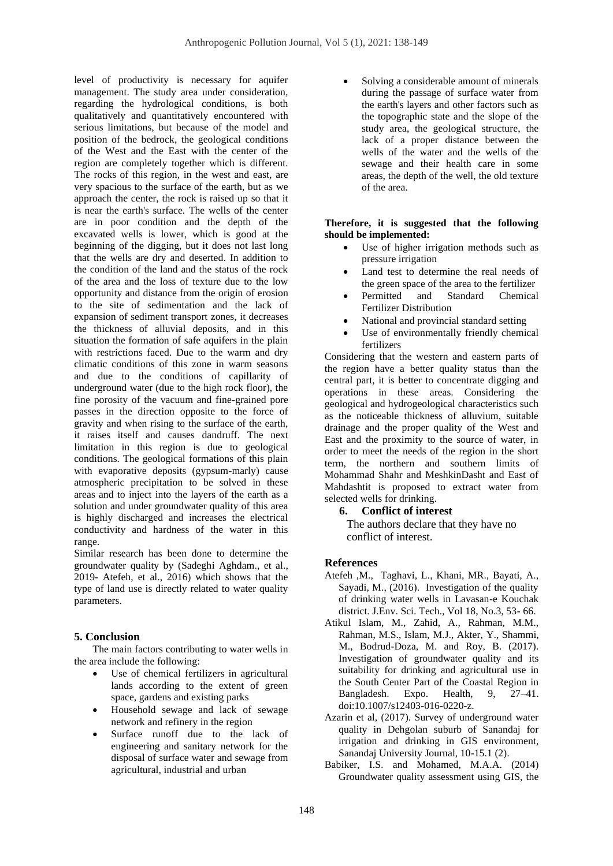level of productivity is necessary for aquifer management. The study area under consideration, regarding the hydrological conditions, is both qualitatively and quantitatively encountered with serious limitations, but because of the model and position of the bedrock, the geological conditions of the West and the East with the center of the region are completely together which is different. The rocks of this region, in the west and east, are very spacious to the surface of the earth, but as we approach the center, the rock is raised up so that it is near the earth's surface. The wells of the center are in poor condition and the depth of the excavated wells is lower, which is good at the beginning of the digging, but it does not last long that the wells are dry and deserted. In addition to the condition of the land and the status of the rock of the area and the loss of texture due to the low opportunity and distance from the origin of erosion to the site of sedimentation and the lack of expansion of sediment transport zones, it decreases the thickness of alluvial deposits, and in this situation the formation of safe aquifers in the plain with restrictions faced. Due to the warm and dry climatic conditions of this zone in warm seasons and due to the conditions of capillarity of underground water (due to the high rock floor), the fine porosity of the vacuum and fine-grained pore passes in the direction opposite to the force of gravity and when rising to the surface of the earth, it raises itself and causes dandruff. The next limitation in this region is due to geological conditions. The geological formations of this plain with evaporative deposits (gypsum-marly) cause atmospheric precipitation to be solved in these areas and to inject into the layers of the earth as a solution and under groundwater quality of this area is highly discharged and increases the electrical conductivity and hardness of the water in this range.

Similar research has been done to determine the groundwater quality by (Sadeghi Aghdam., et al., 2019- Atefeh, et al., 2016) which shows that the type of land use is directly related to water quality parameters.

## **5. Conclusion**

The main factors contributing to water wells in the area include the following:

- Use of chemical fertilizers in agricultural lands according to the extent of green space, gardens and existing parks
- Household sewage and lack of sewage network and refinery in the region
- Surface runoff due to the lack of engineering and sanitary network for the disposal of surface water and sewage from agricultural, industrial and urban

Solving a considerable amount of minerals during the passage of surface water from the earth's layers and other factors such as the topographic state and the slope of the study area, the geological structure, the lack of a proper distance between the wells of the water and the wells of the sewage and their health care in some areas, the depth of the well, the old texture of the area.

#### **Therefore, it is suggested that the following should be implemented:**

- Use of higher irrigation methods such as pressure irrigation
- Land test to determine the real needs of the green space of the area to the fertilizer
- Permitted and Standard Chemical Fertilizer Distribution
- National and provincial standard setting
- Use of environmentally friendly chemical fertilizers

Considering that the western and eastern parts of the region have a better quality status than the central part, it is better to concentrate digging and operations in these areas. Considering the geological and hydrogeological characteristics such as the noticeable thickness of alluvium, suitable drainage and the proper quality of the West and East and the proximity to the source of water, in order to meet the needs of the region in the short term, the northern and southern limits of Mohammad Shahr and MeshkinDasht and East of Mahdashtit is proposed to extract water from selected wells for drinking.

## **6. Conflict of interest**

The authors declare that they have no conflict of interest.

## **References**

- Atefeh ,M., Taghavi, L., Khani, MR., Bayati, A., Sayadi, M., (2016). Investigation of the quality of drinking water wells in Lavasan-e Kouchak district. J.Env. Sci. Tech., Vol 18, No.3, 53- 66.
- Atikul Islam, M., Zahid, A., Rahman, M.M., Rahman, M.S., Islam, M.J., Akter, Y., Shammi, M., Bodrud-Doza, M. and Roy, B. (2017). Investigation of groundwater quality and its suitability for drinking and agricultural use in the South Center Part of the Coastal Region in Bangladesh. Expo. Health, 9, 27–41. doi:10.1007/s12403-016-0220-z.
- Azarin et al, (2017). Survey of underground water quality in Dehgolan suburb of Sanandaj for irrigation and drinking in GIS environment, Sanandaj University Journal, 10-15.1 (2).
- Babiker, I.S. and Mohamed, M.A.A. (2014) Groundwater quality assessment using GIS, the